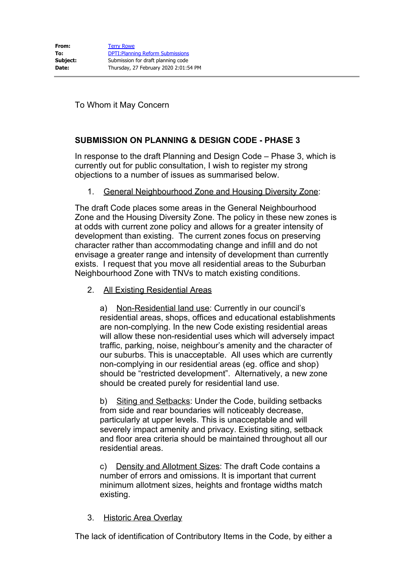To Whom it May Concern

# **SUBMISSION ON PLANNING & DESIGN CODE - PHASE 3**

In response to the draft Planning and Design Code – Phase 3, which is currently out for public consultation, I wish to register my strong objections to a number of issues as summarised below.

1. General Neighbourhood Zone and Housing Diversity Zone:

The draft Code places some areas in the General Neighbourhood Zone and the Housing Diversity Zone. The policy in these new zones is at odds with current zone policy and allows for a greater intensity of development than existing. The current zones focus on preserving character rather than accommodating change and infill and do not envisage a greater range and intensity of development than currently exists. I request that you move all residential areas to the Suburban Neighbourhood Zone with TNVs to match existing conditions.

2. All Existing Residential Areas

a) Non-Residential land use: Currently in our council's residential areas, shops, offices and educational establishments are non-complying. In the new Code existing residential areas will allow these non-residential uses which will adversely impact traffic, parking, noise, neighbour's amenity and the character of our suburbs. This is unacceptable. All uses which are currently non-complying in our residential areas (eg. office and shop) should be "restricted development". Alternatively, a new zone should be created purely for residential land use.

b) Siting and Setbacks: Under the Code, building setbacks from side and rear boundaries will noticeably decrease, particularly at upper levels. This is unacceptable and will severely impact amenity and privacy. Existing siting, setback and floor area criteria should be maintained throughout all our residential areas.

c) Density and Allotment Sizes: The draft Code contains a number of errors and omissions. It is important that current minimum allotment sizes, heights and frontage widths match existing.

3. Historic Area Overlay

The lack of identification of Contributory Items in the Code, by either a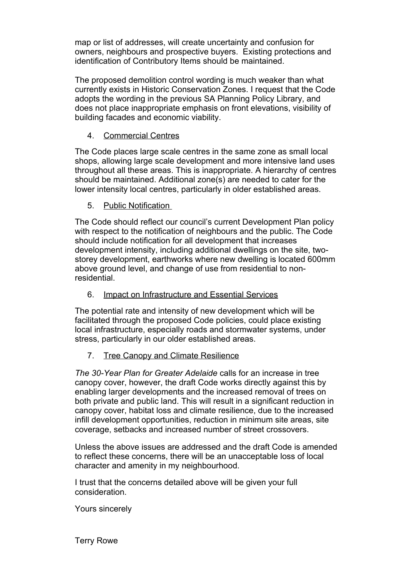map or list of addresses, will create uncertainty and confusion for owners, neighbours and prospective buyers. Existing protections and identification of Contributory Items should be maintained.

The proposed demolition control wording is much weaker than what currently exists in Historic Conservation Zones. I request that the Code adopts the wording in the previous SA Planning Policy Library, and does not place inappropriate emphasis on front elevations, visibility of building facades and economic viability.

## 4. Commercial Centres

The Code places large scale centres in the same zone as small local shops, allowing large scale development and more intensive land uses throughout all these areas. This is inappropriate. A hierarchy of centres should be maintained. Additional zone(s) are needed to cater for the lower intensity local centres, particularly in older established areas.

### 5. Public Notification

The Code should reflect our council's current Development Plan policy with respect to the notification of neighbours and the public. The Code should include notification for all development that increases development intensity, including additional dwellings on the site, twostorey development, earthworks where new dwelling is located 600mm above ground level, and change of use from residential to nonresidential.

### 6. Impact on Infrastructure and Essential Services

The potential rate and intensity of new development which will be facilitated through the proposed Code policies, could place existing local infrastructure, especially roads and stormwater systems, under stress, particularly in our older established areas.

### 7. Tree Canopy and Climate Resilience

*The 30-Year Plan for Greater Adelaide* calls for an increase in tree canopy cover, however, the draft Code works directly against this by enabling larger developments and the increased removal of trees on both private and public land. This will result in a significant reduction in canopy cover, habitat loss and climate resilience, due to the increased infill development opportunities, reduction in minimum site areas, site coverage, setbacks and increased number of street crossovers.

Unless the above issues are addressed and the draft Code is amended to reflect these concerns, there will be an unacceptable loss of local character and amenity in my neighbourhood.

I trust that the concerns detailed above will be given your full consideration.

Yours sincerely

Terry Rowe